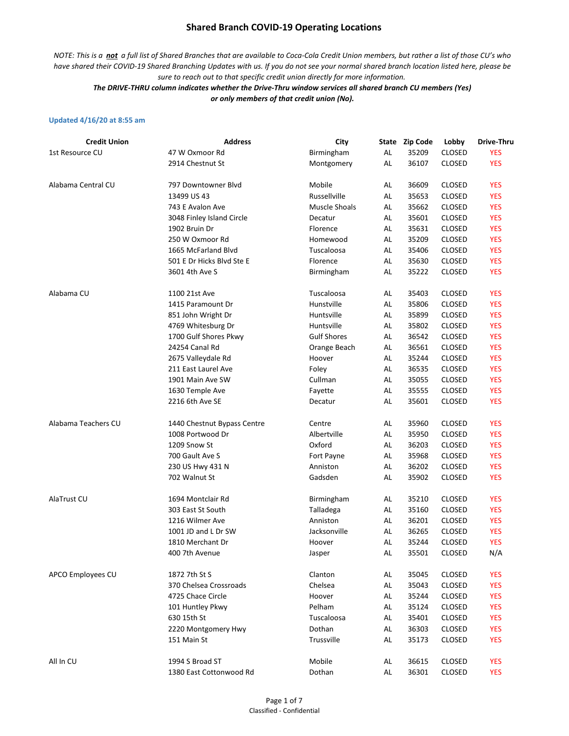*NOTE: This is a not a full list of Shared Branches that are available to Coca-Cola Credit Union members, but rather a list of those CU's who have shared their COVID-19 Shared Branching Updates with us. If you do not see your normal shared branch location listed here, please be sure to reach out to that specific credit union directly for more information.*

*The DRIVE-THRU column indicates whether the Drive-Thru window services all shared branch CU members (Yes) or only members of that credit union (No).*

#### **Updated 4/16/20 at 8:55 am**

| <b>Credit Union</b> | <b>Address</b>              | City               |    | State Zip Code | Lobby         | Drive-Thru |
|---------------------|-----------------------------|--------------------|----|----------------|---------------|------------|
| 1st Resource CU     | 47 W Oxmoor Rd              | Birmingham         | AL | 35209          | <b>CLOSED</b> | <b>YES</b> |
|                     | 2914 Chestnut St            | Montgomery         | AL | 36107          | <b>CLOSED</b> | <b>YES</b> |
| Alabama Central CU  | 797 Downtowner Blvd         | Mobile             | AL | 36609          | <b>CLOSED</b> | <b>YES</b> |
|                     | 13499 US 43                 | Russellville       | AL | 35653          | <b>CLOSED</b> | <b>YES</b> |
|                     | 743 E Avalon Ave            | Muscle Shoals      | AL | 35662          | <b>CLOSED</b> | <b>YES</b> |
|                     | 3048 Finley Island Circle   | Decatur            | AL | 35601          | <b>CLOSED</b> | <b>YES</b> |
|                     | 1902 Bruin Dr               | Florence           | AL | 35631          | <b>CLOSED</b> | <b>YES</b> |
|                     | 250 W Oxmoor Rd             | Homewood           | AL | 35209          | <b>CLOSED</b> | <b>YES</b> |
|                     | 1665 McFarland Blvd         | Tuscaloosa         | AL | 35406          | <b>CLOSED</b> | <b>YES</b> |
|                     | 501 E Dr Hicks Blvd Ste E   | Florence           | AL | 35630          | <b>CLOSED</b> | <b>YES</b> |
|                     | 3601 4th Ave S              | Birmingham         | AL | 35222          | <b>CLOSED</b> | <b>YES</b> |
| Alabama CU          | 1100 21st Ave               | Tuscaloosa         | AL | 35403          | <b>CLOSED</b> | <b>YES</b> |
|                     | 1415 Paramount Dr           | Hunstville         | AL | 35806          | <b>CLOSED</b> | <b>YES</b> |
|                     | 851 John Wright Dr          | Huntsville         | AL | 35899          | <b>CLOSED</b> | <b>YES</b> |
|                     | 4769 Whitesburg Dr          | Huntsville         | AL | 35802          | <b>CLOSED</b> | <b>YES</b> |
|                     | 1700 Gulf Shores Pkwy       | <b>Gulf Shores</b> | AL | 36542          | <b>CLOSED</b> | <b>YES</b> |
|                     | 24254 Canal Rd              | Orange Beach       | AL | 36561          | <b>CLOSED</b> | <b>YES</b> |
|                     | 2675 Valleydale Rd          | Hoover             | AL | 35244          | <b>CLOSED</b> | <b>YES</b> |
|                     | 211 East Laurel Ave         | Foley              | AL | 36535          | <b>CLOSED</b> | <b>YES</b> |
|                     | 1901 Main Ave SW            | Cullman            | AL | 35055          | <b>CLOSED</b> | <b>YES</b> |
|                     | 1630 Temple Ave             | Fayette            | AL | 35555          | <b>CLOSED</b> | <b>YES</b> |
|                     | 2216 6th Ave SE             | Decatur            | AL | 35601          | <b>CLOSED</b> | <b>YES</b> |
| Alabama Teachers CU | 1440 Chestnut Bypass Centre | Centre             | AL | 35960          | <b>CLOSED</b> | <b>YES</b> |
|                     | 1008 Portwood Dr            | Albertville        | AL | 35950          | <b>CLOSED</b> | <b>YES</b> |
|                     | 1209 Snow St                | Oxford             | AL | 36203          | <b>CLOSED</b> | <b>YES</b> |
|                     | 700 Gault Ave S             | Fort Payne         | AL | 35968          | CLOSED        | <b>YES</b> |
|                     | 230 US Hwy 431 N            | Anniston           | AL | 36202          | <b>CLOSED</b> | <b>YES</b> |
|                     | 702 Walnut St               | Gadsden            | AL | 35902          | CLOSED        | <b>YES</b> |
| AlaTrust CU         | 1694 Montclair Rd           | Birmingham         | AL | 35210          | <b>CLOSED</b> | <b>YES</b> |
|                     | 303 East St South           | Talladega          | AL | 35160          | <b>CLOSED</b> | <b>YES</b> |
|                     | 1216 Wilmer Ave             | Anniston           | AL | 36201          | <b>CLOSED</b> | <b>YES</b> |
|                     | 1001 JD and L Dr SW         | Jacksonville       | AL | 36265          | <b>CLOSED</b> | <b>YES</b> |
|                     | 1810 Merchant Dr            | Hoover             | AL | 35244          | <b>CLOSED</b> | <b>YES</b> |
|                     | 400 7th Avenue              | Jasper             | AL | 35501          | CLOSED        | N/A        |
| APCO Employees CU   | 1872 7th St S               | Clanton            | AL | 35045          | <b>CLOSED</b> | <b>YES</b> |
|                     | 370 Chelsea Crossroads      | Chelsea            | AL | 35043          | <b>CLOSED</b> | <b>YES</b> |
|                     | 4725 Chace Circle           | Hoover             | AL | 35244          | <b>CLOSED</b> | <b>YES</b> |
|                     | 101 Huntley Pkwy            | Pelham             | AL | 35124          | <b>CLOSED</b> | <b>YES</b> |
|                     | 630 15th St                 | Tuscaloosa         | AL | 35401          | <b>CLOSED</b> | <b>YES</b> |
|                     | 2220 Montgomery Hwy         | Dothan             | AL | 36303          | <b>CLOSED</b> | <b>YES</b> |
|                     | 151 Main St                 | Trussville         | AL | 35173          | <b>CLOSED</b> | <b>YES</b> |
| All In CU           | 1994 S Broad ST             | Mobile             | AL | 36615          | CLOSED        | <b>YES</b> |
|                     | 1380 East Cottonwood Rd     | Dothan             | AL | 36301          | <b>CLOSED</b> | <b>YES</b> |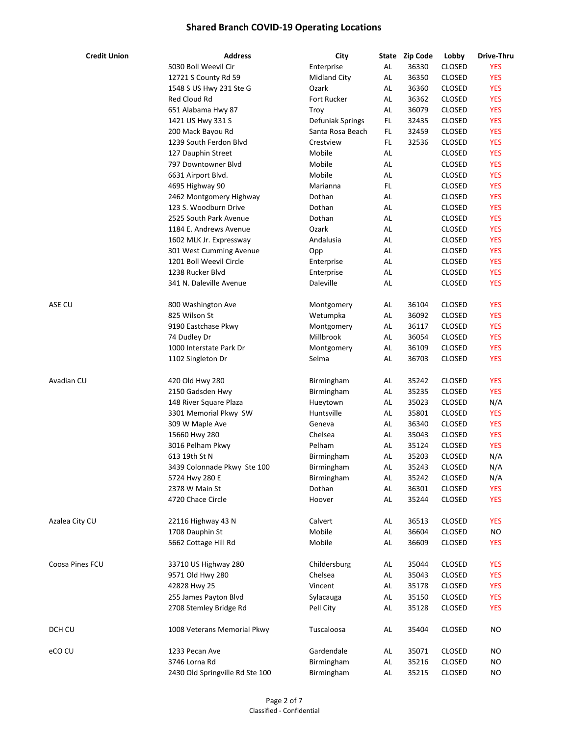| <b>Credit Union</b> | <b>Address</b>                  | City                | State | <b>Zip Code</b> | Lobby         | Drive-Thru |
|---------------------|---------------------------------|---------------------|-------|-----------------|---------------|------------|
|                     | 5030 Boll Weevil Cir            | Enterprise          | AL    | 36330           | CLOSED        | <b>YES</b> |
|                     | 12721 S County Rd 59            | <b>Midland City</b> | AL    | 36350           | CLOSED        | <b>YES</b> |
|                     | 1548 S US Hwy 231 Ste G         | Ozark               | AL    | 36360           | CLOSED        | <b>YES</b> |
|                     | <b>Red Cloud Rd</b>             | <b>Fort Rucker</b>  | AL    | 36362           | CLOSED        | <b>YES</b> |
|                     | 651 Alabama Hwy 87              | Troy                | AL    | 36079           | CLOSED        | <b>YES</b> |
|                     | 1421 US Hwy 331 S               | Defuniak Springs    | FL.   | 32435           | CLOSED        | <b>YES</b> |
|                     | 200 Mack Bayou Rd               | Santa Rosa Beach    | FL.   | 32459           | CLOSED        | <b>YES</b> |
|                     | 1239 South Ferdon Blvd          | Crestview           | FL    | 32536           | <b>CLOSED</b> | <b>YES</b> |
|                     | 127 Dauphin Street              | Mobile              | AL    |                 | <b>CLOSED</b> | <b>YES</b> |
|                     | 797 Downtowner Blvd             | Mobile              | AL    |                 | CLOSED        | <b>YES</b> |
|                     | 6631 Airport Blvd.              | Mobile              | AL    |                 | <b>CLOSED</b> | <b>YES</b> |
|                     | 4695 Highway 90                 | Marianna            | FL.   |                 | <b>CLOSED</b> | <b>YES</b> |
|                     | 2462 Montgomery Highway         | Dothan              | AL    |                 | <b>CLOSED</b> | <b>YES</b> |
|                     | 123 S. Woodburn Drive           | Dothan              | AL    |                 | CLOSED        | <b>YES</b> |
|                     | 2525 South Park Avenue          | Dothan              | AL    |                 | CLOSED        | <b>YES</b> |
|                     | 1184 E. Andrews Avenue          | Ozark               | AL    |                 | CLOSED        | <b>YES</b> |
|                     |                                 | Andalusia           | AL    |                 | CLOSED        | <b>YES</b> |
|                     | 1602 MLK Jr. Expressway         |                     |       |                 |               |            |
|                     | 301 West Cumming Avenue         | Opp                 | AL    |                 | CLOSED        | <b>YES</b> |
|                     | 1201 Boll Weevil Circle         | Enterprise          | AL    |                 | CLOSED        | <b>YES</b> |
|                     | 1238 Rucker Blvd                | Enterprise          | AL    |                 | <b>CLOSED</b> | <b>YES</b> |
|                     | 341 N. Daleville Avenue         | Daleville           | AL    |                 | <b>CLOSED</b> | <b>YES</b> |
| ASE CU              | 800 Washington Ave              | Montgomery          | AL    | 36104           | CLOSED        | <b>YES</b> |
|                     | 825 Wilson St                   | Wetumpka            | AL    | 36092           | <b>CLOSED</b> | <b>YES</b> |
|                     | 9190 Eastchase Pkwy             | Montgomery          | AL    | 36117           | <b>CLOSED</b> | <b>YES</b> |
|                     | 74 Dudley Dr                    | Millbrook           | AL    | 36054           | <b>CLOSED</b> | <b>YES</b> |
|                     | 1000 Interstate Park Dr         | Montgomery          | AL    | 36109           | CLOSED        | <b>YES</b> |
|                     | 1102 Singleton Dr               | Selma               | AL    | 36703           | CLOSED        | <b>YES</b> |
| Avadian CU          | 420 Old Hwy 280                 | Birmingham          | AL    | 35242           | CLOSED        | <b>YES</b> |
|                     | 2150 Gadsden Hwy                | Birmingham          | AL    | 35235           | <b>CLOSED</b> | <b>YES</b> |
|                     | 148 River Square Plaza          | Hueytown            | AL    | 35023           | CLOSED        | N/A        |
|                     | 3301 Memorial Pkwy SW           | Huntsville          | AL    | 35801           | CLOSED        | <b>YES</b> |
|                     | 309 W Maple Ave                 | Geneva              | AL    | 36340           | CLOSED        | <b>YES</b> |
|                     | 15660 Hwy 280                   | Chelsea             | AL    | 35043           | CLOSED        | <b>YES</b> |
|                     | 3016 Pelham Pkwy                | Pelham              | AL    | 35124           | CLOSED        | <b>YES</b> |
|                     | 613 19th St N                   | Birmingham          | AL    | 35203           | CLOSED        |            |
|                     |                                 |                     |       |                 |               | N/A        |
|                     | 3439 Colonnade Pkwy Ste 100     | Birmingham          | AL    | 35243           | <b>CLOSED</b> | N/A        |
|                     | 5724 Hwy 280 E                  | Birmingham          | AL    | 35242           | CLOSED        | N/A        |
|                     | 2378 W Main St                  | Dothan              | AL    | 36301           | CLOSED        | <b>YES</b> |
|                     | 4720 Chace Circle               | Hoover              | AL    | 35244           | CLOSED        | <b>YES</b> |
| Azalea City CU      | 22116 Highway 43 N              | Calvert             | AL    | 36513           | CLOSED        | <b>YES</b> |
|                     | 1708 Dauphin St                 | Mobile              | AL    | 36604           | CLOSED        | <b>NO</b>  |
|                     | 5662 Cottage Hill Rd            | Mobile              | AL    | 36609           | <b>CLOSED</b> | <b>YES</b> |
| Coosa Pines FCU     | 33710 US Highway 280            | Childersburg        | AL    | 35044           | CLOSED        | <b>YES</b> |
|                     | 9571 Old Hwy 280                | Chelsea             | AL    | 35043           | <b>CLOSED</b> | <b>YES</b> |
|                     | 42828 Hwy 25                    | Vincent             | AL    | 35178           | CLOSED        | <b>YES</b> |
|                     | 255 James Payton Blvd           | Sylacauga           | AL    | 35150           | CLOSED        | <b>YES</b> |
|                     | 2708 Stemley Bridge Rd          | Pell City           | AL    | 35128           | CLOSED        | <b>YES</b> |
| DCH CU              | 1008 Veterans Memorial Pkwy     | Tuscaloosa          | AL    | 35404           | CLOSED        | <b>NO</b>  |
|                     |                                 |                     |       |                 |               |            |
| eCO CU              | 1233 Pecan Ave                  | Gardendale          | AL    | 35071           | <b>CLOSED</b> | <b>NO</b>  |
|                     | 3746 Lorna Rd                   | Birmingham          | AL    | 35216           | CLOSED        | <b>NO</b>  |
|                     | 2430 Old Springville Rd Ste 100 | Birmingham          | AL    | 35215           | CLOSED        | <b>NO</b>  |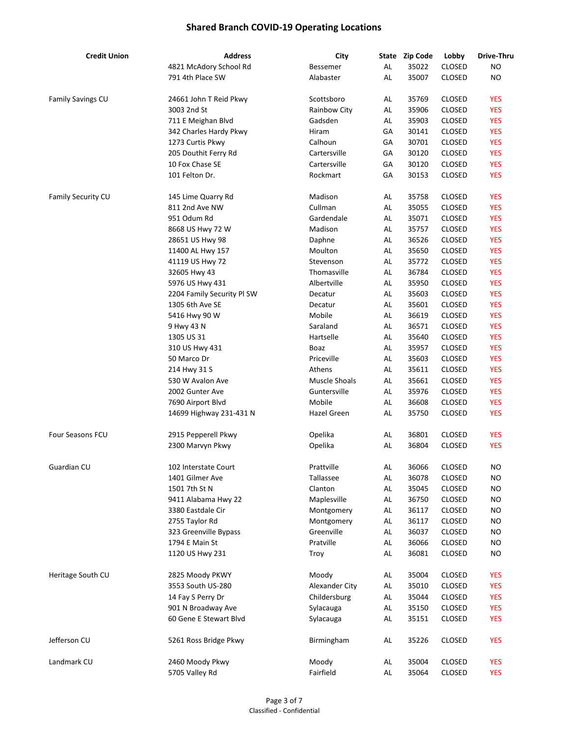| <b>Credit Union</b>      | <b>Address</b>             | City             |    | State Zip Code | Lobby         | Drive-Thru |
|--------------------------|----------------------------|------------------|----|----------------|---------------|------------|
|                          | 4821 McAdory School Rd     | Bessemer         | AL | 35022          | CLOSED        | <b>NO</b>  |
|                          | 791 4th Place SW           | Alabaster        | AL | 35007          | <b>CLOSED</b> | <b>NO</b>  |
|                          |                            |                  |    |                |               |            |
| <b>Family Savings CU</b> | 24661 John T Reid Pkwy     | Scottsboro       | AL | 35769          | <b>CLOSED</b> | <b>YES</b> |
|                          | 3003 2nd St                | Rainbow City     | AL | 35906          | <b>CLOSED</b> | <b>YES</b> |
|                          | 711 E Meighan Blvd         | Gadsden          | AL | 35903          | <b>CLOSED</b> | <b>YES</b> |
|                          | 342 Charles Hardy Pkwy     | Hiram            | GА | 30141          | <b>CLOSED</b> | <b>YES</b> |
|                          | 1273 Curtis Pkwy           | Calhoun          | GA | 30701          | <b>CLOSED</b> | <b>YES</b> |
|                          | 205 Douthit Ferry Rd       | Cartersville     | GА | 30120          | <b>CLOSED</b> | <b>YES</b> |
|                          | 10 Fox Chase SE            | Cartersville     | GА | 30120          | <b>CLOSED</b> | <b>YES</b> |
|                          | 101 Felton Dr.             | Rockmart         | GА | 30153          | <b>CLOSED</b> | <b>YES</b> |
|                          |                            |                  |    |                |               |            |
| Family Security CU       | 145 Lime Quarry Rd         | Madison          | AL | 35758          | <b>CLOSED</b> | <b>YES</b> |
|                          | 811 2nd Ave NW             | Cullman          | AL | 35055          | <b>CLOSED</b> | <b>YES</b> |
|                          | 951 Odum Rd                | Gardendale       | AL | 35071          | <b>CLOSED</b> | <b>YES</b> |
|                          | 8668 US Hwy 72 W           | Madison          | AL | 35757          | <b>CLOSED</b> | <b>YES</b> |
|                          | 28651 US Hwy 98            | Daphne           | AL | 36526          | <b>CLOSED</b> | <b>YES</b> |
|                          | 11400 AL Hwy 157           | Moulton          | AL | 35650          | <b>CLOSED</b> | <b>YES</b> |
|                          | 41119 US Hwy 72            | Stevenson        | AL | 35772          | <b>CLOSED</b> | <b>YES</b> |
|                          | 32605 Hwy 43               | Thomasville      | AL | 36784          | <b>CLOSED</b> | <b>YES</b> |
|                          | 5976 US Hwy 431            | Albertville      | AL | 35950          | <b>CLOSED</b> | <b>YES</b> |
|                          | 2204 Family Security Pl SW | Decatur          | AL | 35603          | <b>CLOSED</b> | <b>YES</b> |
|                          | 1305 6th Ave SE            | Decatur          | AL | 35601          | <b>CLOSED</b> | <b>YES</b> |
|                          | 5416 Hwy 90 W              | Mobile           | AL | 36619          | <b>CLOSED</b> | <b>YES</b> |
|                          |                            | Saraland         | AL | 36571          |               | <b>YES</b> |
|                          | 9 Hwy 43 N                 |                  |    |                | CLOSED        |            |
|                          | 1305 US 31                 | Hartselle        | AL | 35640          | CLOSED        | <b>YES</b> |
|                          | 310 US Hwy 431             | Boaz             | AL | 35957          | <b>CLOSED</b> | <b>YES</b> |
|                          | 50 Marco Dr                | Priceville       | AL | 35603          | <b>CLOSED</b> | <b>YES</b> |
|                          | 214 Hwy 31 S               | Athens           | AL | 35611          | <b>CLOSED</b> | <b>YES</b> |
|                          | 530 W Avalon Ave           | Muscle Shoals    | AL | 35661          | <b>CLOSED</b> | <b>YES</b> |
|                          | 2002 Gunter Ave            | Guntersville     | AL | 35976          | <b>CLOSED</b> | <b>YES</b> |
|                          | 7690 Airport Blvd          | Mobile           | AL | 36608          | <b>CLOSED</b> | <b>YES</b> |
|                          | 14699 Highway 231-431 N    | Hazel Green      | AL | 35750          | <b>CLOSED</b> | <b>YES</b> |
| Four Seasons FCU         |                            |                  |    |                | <b>CLOSED</b> |            |
|                          | 2915 Pepperell Pkwy        | Opelika          | AL | 36801          |               | <b>YES</b> |
|                          | 2300 Marvyn Pkwy           | Opelika          | AL | 36804          | <b>CLOSED</b> | <b>YES</b> |
| Guardian CU              | 102 Interstate Court       | Prattville       | AL | 36066          | CLOSED        | <b>NO</b>  |
|                          | 1401 Gilmer Ave            | <b>Tallassee</b> | AL | 36078          | CLOSED        | NO.        |
|                          | 1501 7th St N              | Clanton          | AL | 35045          | CLOSED        | <b>NO</b>  |
|                          | 9411 Alabama Hwy 22        | Maplesville      | AL | 36750          | CLOSED        | <b>NO</b>  |
|                          | 3380 Eastdale Cir          | Montgomery       | AL | 36117          | CLOSED        | <b>NO</b>  |
|                          | 2755 Taylor Rd             | Montgomery       | AL | 36117          | CLOSED        | <b>NO</b>  |
|                          | 323 Greenville Bypass      | Greenville       | AL | 36037          | <b>CLOSED</b> | <b>NO</b>  |
|                          | 1794 E Main St             | Pratville        | AL | 36066          | <b>CLOSED</b> | <b>NO</b>  |
|                          |                            |                  |    |                | <b>CLOSED</b> |            |
|                          | 1120 US Hwy 231            | Troy             | AL | 36081          |               | <b>NO</b>  |
| Heritage South CU        | 2825 Moody PKWY            | Moody            | AL | 35004          | <b>CLOSED</b> | <b>YES</b> |
|                          | 3553 South US-280          | Alexander City   | AL | 35010          | <b>CLOSED</b> | <b>YES</b> |
|                          | 14 Fay S Perry Dr          | Childersburg     | AL | 35044          | CLOSED        | <b>YES</b> |
|                          | 901 N Broadway Ave         | Sylacauga        | AL | 35150          | CLOSED        | <b>YES</b> |
|                          | 60 Gene E Stewart Blvd     | Sylacauga        | AL | 35151          | CLOSED        | <b>YES</b> |
|                          |                            |                  |    |                |               |            |
| Jefferson CU             | 5261 Ross Bridge Pkwy      | Birmingham       | AL | 35226          | <b>CLOSED</b> | <b>YES</b> |
| Landmark CU              | 2460 Moody Pkwy            | Moody            | AL | 35004          | <b>CLOSED</b> | <b>YES</b> |
|                          | 5705 Valley Rd             | Fairfield        | AL | 35064          | CLOSED        | <b>YES</b> |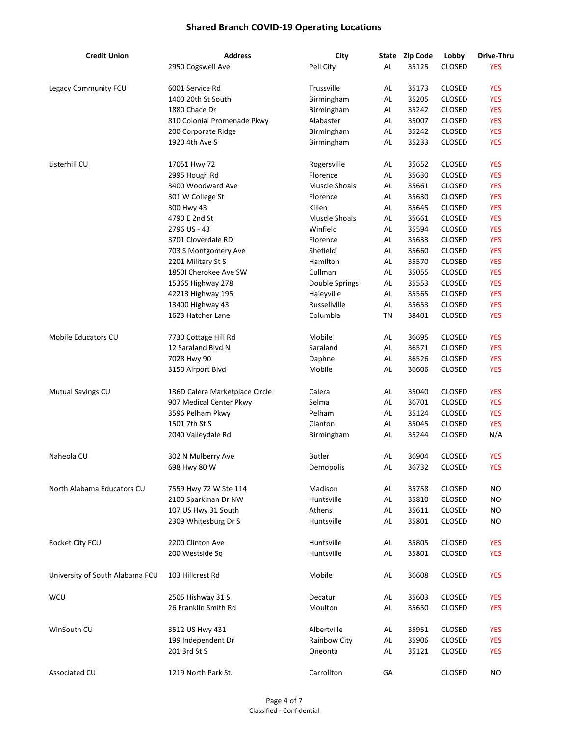| <b>Credit Union</b>             | <b>Address</b>                 | City                 | State         | <b>Zip Code</b> | Lobby         | Drive-Thru |
|---------------------------------|--------------------------------|----------------------|---------------|-----------------|---------------|------------|
|                                 | 2950 Cogswell Ave              | Pell City            | AL            | 35125           | CLOSED        | <b>YES</b> |
| Legacy Community FCU            | 6001 Service Rd                | Trussville           | AL            | 35173           | <b>CLOSED</b> | <b>YES</b> |
|                                 | 1400 20th St South             | Birmingham           | AL            | 35205           | <b>CLOSED</b> | <b>YES</b> |
|                                 | 1880 Chace Dr                  | Birmingham           | AL            | 35242           | <b>CLOSED</b> | <b>YES</b> |
|                                 | 810 Colonial Promenade Pkwy    | Alabaster            | AL            | 35007           | <b>CLOSED</b> | <b>YES</b> |
|                                 | 200 Corporate Ridge            | Birmingham           | AL            | 35242           | <b>CLOSED</b> | <b>YES</b> |
|                                 | 1920 4th Ave S                 | Birmingham           | AL            | 35233           | <b>CLOSED</b> | <b>YES</b> |
| Listerhill CU                   | 17051 Hwy 72                   | Rogersville          | AL            | 35652           | <b>CLOSED</b> | <b>YES</b> |
|                                 | 2995 Hough Rd                  | Florence             | AL            | 35630           | <b>CLOSED</b> | <b>YES</b> |
|                                 | 3400 Woodward Ave              | Muscle Shoals        | AL            | 35661           | <b>CLOSED</b> | <b>YES</b> |
|                                 | 301 W College St               | Florence             | AL            | 35630           | <b>CLOSED</b> | <b>YES</b> |
|                                 | 300 Hwy 43                     | Killen               | AL            | 35645           | <b>CLOSED</b> | <b>YES</b> |
|                                 | 4790 E 2nd St                  | <b>Muscle Shoals</b> | AL            | 35661           | <b>CLOSED</b> | <b>YES</b> |
|                                 | 2796 US - 43                   | Winfield             | AL            | 35594           | <b>CLOSED</b> | <b>YES</b> |
|                                 | 3701 Cloverdale RD             | Florence             | AL            | 35633           | <b>CLOSED</b> | <b>YES</b> |
|                                 | 703 S Montgomery Ave           | Shefield             | AL            | 35660           | <b>CLOSED</b> | <b>YES</b> |
|                                 | 2201 Military St S             | Hamilton             | AL            | 35570           | <b>CLOSED</b> | <b>YES</b> |
|                                 | 1850I Cherokee Ave SW          | Cullman              | AL            | 35055           | <b>CLOSED</b> | <b>YES</b> |
|                                 |                                |                      |               |                 |               |            |
|                                 | 15365 Highway 278              | Double Springs       | AL            | 35553           | <b>CLOSED</b> | <b>YES</b> |
|                                 | 42213 Highway 195              | Haleyville           | AL            | 35565           | <b>CLOSED</b> | <b>YES</b> |
|                                 | 13400 Highway 43               | Russellville         | $\mathsf{AL}$ | 35653           | <b>CLOSED</b> | <b>YES</b> |
|                                 | 1623 Hatcher Lane              | Columbia             | TN            | 38401           | <b>CLOSED</b> | <b>YES</b> |
| Mobile Educators CU             | 7730 Cottage Hill Rd           | Mobile               | AL            | 36695           | <b>CLOSED</b> | <b>YES</b> |
|                                 | 12 Saraland Blvd N             | Saraland             | AL            | 36571           | <b>CLOSED</b> | <b>YES</b> |
|                                 | 7028 Hwy 90                    | Daphne               | AL            | 36526           | <b>CLOSED</b> | <b>YES</b> |
|                                 | 3150 Airport Blvd              | Mobile               | AL            | 36606           | <b>CLOSED</b> | <b>YES</b> |
| Mutual Savings CU               | 136D Calera Marketplace Circle | Calera               | AL            | 35040           | <b>CLOSED</b> | <b>YES</b> |
|                                 | 907 Medical Center Pkwy        | Selma                | AL            | 36701           | <b>CLOSED</b> | <b>YES</b> |
|                                 | 3596 Pelham Pkwy               | Pelham               | AL            | 35124           | <b>CLOSED</b> | <b>YES</b> |
|                                 | 1501 7th St S                  | Clanton              | AL            | 35045           | <b>CLOSED</b> | <b>YES</b> |
|                                 | 2040 Valleydale Rd             | Birmingham           | AL            | 35244           | CLOSED        | N/A        |
| Naheola CU                      | 302 N Mulberry Ave             | <b>Butler</b>        | AL            | 36904           | <b>CLOSED</b> | <b>YES</b> |
|                                 | 698 Hwy 80 W                   | Demopolis            | AL            | 36732           | <b>CLOSED</b> | <b>YES</b> |
| North Alabama Educators CU      | 7559 Hwy 72 W Ste 114          | Madison              | AL            | 35758           | <b>CLOSED</b> | NO.        |
|                                 | 2100 Sparkman Dr NW            | Huntsville           | AL            | 35810           | CLOSED        | <b>NO</b>  |
|                                 | 107 US Hwy 31 South            | Athens               | AL            | 35611           | <b>CLOSED</b> | <b>NO</b>  |
|                                 | 2309 Whitesburg Dr S           | Huntsville           | AL            | 35801           | CLOSED        | <b>NO</b>  |
| Rocket City FCU                 | 2200 Clinton Ave               | Huntsville           | AL            | 35805           | <b>CLOSED</b> | <b>YES</b> |
|                                 | 200 Westside Sq                | Huntsville           | AL            | 35801           | <b>CLOSED</b> | <b>YES</b> |
|                                 |                                |                      |               |                 |               |            |
| University of South Alabama FCU | 103 Hillcrest Rd               | Mobile               | AL            | 36608           | <b>CLOSED</b> | <b>YES</b> |
| WCU                             | 2505 Hishway 31 S              | Decatur              | AL            | 35603           | <b>CLOSED</b> | <b>YES</b> |
|                                 | 26 Franklin Smith Rd           | Moulton              | AL            | 35650           | <b>CLOSED</b> | <b>YES</b> |
| WinSouth CU                     | 3512 US Hwy 431                | Albertville          | AL            | 35951           | <b>CLOSED</b> | <b>YES</b> |
|                                 | 199 Independent Dr             | Rainbow City         | AL            | 35906           | CLOSED        | <b>YES</b> |
|                                 | 201 3rd St S                   | Oneonta              | AL            | 35121           | <b>CLOSED</b> | <b>YES</b> |
| Associated CU                   | 1219 North Park St.            | Carrollton           | GA            |                 | <b>CLOSED</b> | <b>NO</b>  |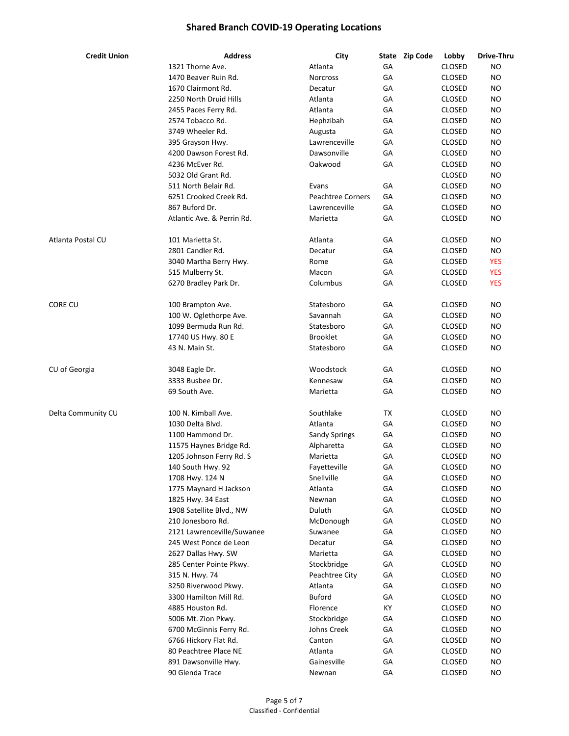| <b>Credit Union</b> | <b>Address</b>             | City                     |    | State Zip Code | Lobby         | Drive-Thru |
|---------------------|----------------------------|--------------------------|----|----------------|---------------|------------|
|                     | 1321 Thorne Ave.           | Atlanta                  | GA |                | <b>CLOSED</b> | NO         |
|                     | 1470 Beaver Ruin Rd.       | <b>Norcross</b>          | GA |                | <b>CLOSED</b> | NO         |
|                     | 1670 Clairmont Rd.         | Decatur                  | GА |                | <b>CLOSED</b> | NO         |
|                     | 2250 North Druid Hills     | Atlanta                  | GA |                | <b>CLOSED</b> | NO         |
|                     | 2455 Paces Ferry Rd.       | Atlanta                  | GA |                | <b>CLOSED</b> | NO         |
|                     | 2574 Tobacco Rd.           | Hephzibah                | GА |                | <b>CLOSED</b> | NO         |
|                     | 3749 Wheeler Rd.           | Augusta                  | GА |                | <b>CLOSED</b> | <b>NO</b>  |
|                     | 395 Grayson Hwy.           | Lawrenceville            | GА |                | <b>CLOSED</b> | <b>NO</b>  |
|                     | 4200 Dawson Forest Rd.     | Dawsonville              | GА |                | <b>CLOSED</b> | NO         |
|                     | 4236 McEver Rd.            | Oakwood                  | GА |                | <b>CLOSED</b> | NO         |
|                     | 5032 Old Grant Rd.         |                          |    |                | <b>CLOSED</b> | <b>NO</b>  |
|                     | 511 North Belair Rd.       | Evans                    | GА |                | <b>CLOSED</b> | <b>NO</b>  |
|                     | 6251 Crooked Creek Rd.     | <b>Peachtree Corners</b> | GA |                | <b>CLOSED</b> | <b>NO</b>  |
|                     | 867 Buford Dr.             | Lawrenceville            | GА |                | <b>CLOSED</b> | NO         |
|                     | Atlantic Ave. & Perrin Rd. | Marietta                 | GA |                | <b>CLOSED</b> | <b>NO</b>  |
| Atlanta Postal CU   | 101 Marietta St.           | Atlanta                  | GА |                | <b>CLOSED</b> | NO         |
|                     | 2801 Candler Rd.           | Decatur                  | GA |                | <b>CLOSED</b> | NO         |
|                     | 3040 Martha Berry Hwy.     | Rome                     | GA |                | <b>CLOSED</b> | <b>YES</b> |
|                     | 515 Mulberry St.           | Macon                    | GA |                | <b>CLOSED</b> | <b>YES</b> |
|                     | 6270 Bradley Park Dr.      | Columbus                 | GA |                | <b>CLOSED</b> | <b>YES</b> |
| Core cu             | 100 Brampton Ave.          | Statesboro               | GA |                | <b>CLOSED</b> | ΝO         |
|                     | 100 W. Oglethorpe Ave.     | Savannah                 | GА |                | <b>CLOSED</b> | <b>NO</b>  |
|                     | 1099 Bermuda Run Rd.       | Statesboro               | GА |                | <b>CLOSED</b> | NO         |
|                     | 17740 US Hwy. 80 E         | <b>Brooklet</b>          | GА |                | <b>CLOSED</b> | ΝO         |
|                     | 43 N. Main St.             | Statesboro               | GА |                | <b>CLOSED</b> | NO         |
|                     | 3048 Eagle Dr.             | Woodstock                | GА |                | <b>CLOSED</b> | NO         |
| CU of Georgia       | 3333 Busbee Dr.            | Kennesaw                 | GА |                | <b>CLOSED</b> | NO         |
|                     | 69 South Ave.              | Marietta                 | GА |                | <b>CLOSED</b> | <b>NO</b>  |
|                     |                            |                          |    |                |               |            |
| Delta Community CU  | 100 N. Kimball Ave.        | Southlake                | ТX |                | <b>CLOSED</b> | NO         |
|                     | 1030 Delta Blvd.           | Atlanta                  | GА |                | <b>CLOSED</b> | NO         |
|                     | 1100 Hammond Dr.           | <b>Sandy Springs</b>     | GA |                | <b>CLOSED</b> | NO         |
|                     | 11575 Haynes Bridge Rd.    | Alpharetta               | GA |                | <b>CLOSED</b> | ΝO         |
|                     | 1205 Johnson Ferry Rd. S   | Marietta                 | GA |                | <b>CLOSED</b> | NO         |
|                     | 140 South Hwy. 92          | Fayetteville             | GA |                | CLOSED        | <b>NO</b>  |
|                     | 1708 Hwy. 124 N            | Snellville               | GA |                | <b>CLOSED</b> | ΝO         |
|                     | 1775 Maynard H Jackson     | Atlanta                  | GA |                | <b>CLOSED</b> | NO.        |
|                     | 1825 Hwy. 34 East          | Newnan                   | GA |                | <b>CLOSED</b> | <b>NO</b>  |
|                     | 1908 Satellite Blvd., NW   | Duluth                   | GA |                | <b>CLOSED</b> | <b>NO</b>  |
|                     | 210 Jonesboro Rd.          | McDonough                | GA |                | <b>CLOSED</b> | <b>NO</b>  |
|                     | 2121 Lawrenceville/Suwanee | Suwanee                  | GA |                | <b>CLOSED</b> | <b>NO</b>  |
|                     | 245 West Ponce de Leon     | Decatur                  | GA |                | CLOSED        | <b>NO</b>  |
|                     | 2627 Dallas Hwy. SW        | Marietta                 | GA |                | CLOSED        | <b>NO</b>  |
|                     | 285 Center Pointe Pkwy.    | Stockbridge              | GA |                | <b>CLOSED</b> | NO.        |
|                     | 315 N. Hwy. 74             | Peachtree City           | GA |                | <b>CLOSED</b> | NO.        |
|                     | 3250 Riverwood Pkwy.       | Atlanta                  | GA |                | <b>CLOSED</b> | NO.        |
|                     | 3300 Hamilton Mill Rd.     | <b>Buford</b>            | GA |                | <b>CLOSED</b> | <b>NO</b>  |
|                     | 4885 Houston Rd.           | Florence                 | KY |                | <b>CLOSED</b> | <b>NO</b>  |
|                     | 5006 Mt. Zion Pkwy.        | Stockbridge              | GA |                | <b>CLOSED</b> | <b>NO</b>  |
|                     | 6700 McGinnis Ferry Rd.    | Johns Creek              | GA |                | <b>CLOSED</b> | ΝO         |
|                     | 6766 Hickory Flat Rd.      | Canton                   | GA |                | CLOSED        | <b>NO</b>  |
|                     | 80 Peachtree Place NE      | Atlanta                  | GA |                | CLOSED        | NO.        |
|                     | 891 Dawsonville Hwy.       | Gainesville              | GA |                | <b>CLOSED</b> | NO.        |
|                     | 90 Glenda Trace            | Newnan                   | GA |                | <b>CLOSED</b> | NO         |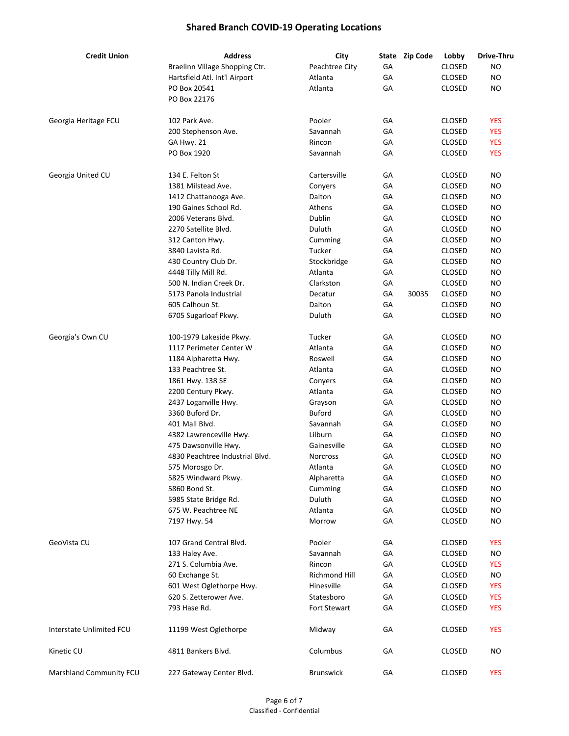| <b>Credit Union</b>      | <b>Address</b>                  | City                |    | State Zip Code | Lobby         | Drive-Thru |
|--------------------------|---------------------------------|---------------------|----|----------------|---------------|------------|
|                          | Braelinn Village Shopping Ctr.  | Peachtree City      | GA |                | <b>CLOSED</b> | NO         |
|                          | Hartsfield Atl. Int'l Airport   | Atlanta             | GA |                | <b>CLOSED</b> | <b>NO</b>  |
|                          | PO Box 20541                    | Atlanta             | GA |                | <b>CLOSED</b> | NO.        |
|                          | PO Box 22176                    |                     |    |                |               |            |
| Georgia Heritage FCU     | 102 Park Ave.                   | Pooler              | GA |                | <b>CLOSED</b> | <b>YES</b> |
|                          | 200 Stephenson Ave.             | Savannah            | GA |                | <b>CLOSED</b> | <b>YES</b> |
|                          | GA Hwy. 21                      | Rincon              | GA |                | <b>CLOSED</b> | <b>YES</b> |
|                          | PO Box 1920                     | Savannah            | GA |                | <b>CLOSED</b> | <b>YES</b> |
| Georgia United CU        | 134 E. Felton St                | Cartersville        | GA |                | <b>CLOSED</b> | NO.        |
|                          | 1381 Milstead Ave.              | Conyers             | GA |                | <b>CLOSED</b> | NO.        |
|                          | 1412 Chattanooga Ave.           | Dalton              | GA |                | <b>CLOSED</b> | NO.        |
|                          | 190 Gaines School Rd.           | Athens              | GA |                | <b>CLOSED</b> | NO.        |
|                          | 2006 Veterans Blvd.             | Dublin              | GA |                | <b>CLOSED</b> | <b>NO</b>  |
|                          | 2270 Satellite Blvd.            | Duluth              | GA |                | <b>CLOSED</b> | NO.        |
|                          | 312 Canton Hwy.                 | Cumming             | GA |                | <b>CLOSED</b> | NO.        |
|                          | 3840 Lavista Rd.                | Tucker              | GA |                | <b>CLOSED</b> | NO.        |
|                          | 430 Country Club Dr.            | Stockbridge         | GA |                | <b>CLOSED</b> | <b>NO</b>  |
|                          | 4448 Tilly Mill Rd.             | Atlanta             | GA |                | <b>CLOSED</b> | NO.        |
|                          | 500 N. Indian Creek Dr.         | Clarkston           | GA |                | <b>CLOSED</b> | NO.        |
|                          | 5173 Panola Industrial          | Decatur             | GA | 30035          | <b>CLOSED</b> | NO.        |
|                          | 605 Calhoun St.                 | Dalton              | GA |                | <b>CLOSED</b> | <b>NO</b>  |
|                          | 6705 Sugarloaf Pkwy.            | Duluth              | GA |                | <b>CLOSED</b> | <b>NO</b>  |
| Georgia's Own CU         | 100-1979 Lakeside Pkwy.         | Tucker              | GA |                | <b>CLOSED</b> | NO.        |
|                          | 1117 Perimeter Center W         | Atlanta             | GA |                | <b>CLOSED</b> | NO.        |
|                          | 1184 Alpharetta Hwy.            | Roswell             | GA |                | <b>CLOSED</b> | NO         |
|                          | 133 Peachtree St.               | Atlanta             | GA |                | <b>CLOSED</b> | NO.        |
|                          | 1861 Hwy. 138 SE                | Conyers             | GA |                | <b>CLOSED</b> | NO.        |
|                          | 2200 Century Pkwy.              | Atlanta             | GA |                | <b>CLOSED</b> | NO.        |
|                          | 2437 Loganville Hwy.            | Grayson             | GA |                | <b>CLOSED</b> | <b>NO</b>  |
|                          | 3360 Buford Dr.                 | <b>Buford</b>       | GA |                | <b>CLOSED</b> | <b>NO</b>  |
|                          | 401 Mall Blvd.                  | Savannah            | GA |                | <b>CLOSED</b> | NO.        |
|                          | 4382 Lawrenceville Hwy.         | Lilburn             | GA |                | <b>CLOSED</b> | NO.        |
|                          | 475 Dawsonville Hwy.            | Gainesville         | GA |                | <b>CLOSED</b> | <b>NO</b>  |
|                          | 4830 Peachtree Industrial Blvd. | <b>Norcross</b>     | GA |                | <b>CLOSED</b> | NO         |
|                          | 575 Morosgo Dr.                 | Atlanta             | GА |                | CLOSED        | ΝO         |
|                          | 5825 Windward Pkwy.             | Alpharetta          | GA |                | <b>CLOSED</b> | NO.        |
|                          | 5860 Bond St.                   | Cumming             | GA |                | <b>CLOSED</b> | <b>NO</b>  |
|                          | 5985 State Bridge Rd.           | Duluth              | GA |                | <b>CLOSED</b> | <b>NO</b>  |
|                          | 675 W. Peachtree NE             | Atlanta             | GA |                | <b>CLOSED</b> | NO.        |
|                          | 7197 Hwy. 54                    | Morrow              | GA |                | <b>CLOSED</b> | ΝO         |
| GeoVista CU              | 107 Grand Central Blvd.         | Pooler              | GA |                | <b>CLOSED</b> | <b>YES</b> |
|                          | 133 Haley Ave.                  | Savannah            | GA |                | <b>CLOSED</b> | <b>NO</b>  |
|                          | 271 S. Columbia Ave.            | Rincon              | GA |                | <b>CLOSED</b> | <b>YES</b> |
|                          | 60 Exchange St.                 | Richmond Hill       | GA |                | <b>CLOSED</b> | NO.        |
|                          | 601 West Oglethorpe Hwy.        | Hinesville          | GA |                | <b>CLOSED</b> | <b>YES</b> |
|                          | 620 S. Zetterower Ave.          | Statesboro          | GA |                | <b>CLOSED</b> | <b>YES</b> |
|                          | 793 Hase Rd.                    | <b>Fort Stewart</b> | GA |                | <b>CLOSED</b> | <b>YES</b> |
| Interstate Unlimited FCU | 11199 West Oglethorpe           | Midway              | GA |                | <b>CLOSED</b> | <b>YES</b> |
| Kinetic CU               | 4811 Bankers Blvd.              | Columbus            | GA |                | <b>CLOSED</b> | <b>NO</b>  |
| Marshland Community FCU  | 227 Gateway Center Blvd.        | <b>Brunswick</b>    | GA |                | <b>CLOSED</b> | <b>YES</b> |